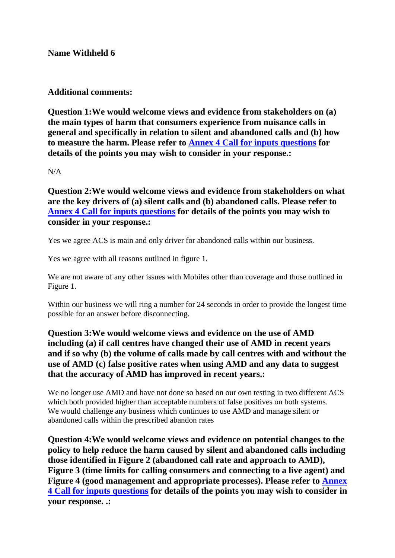**Name Withheld 6**

**Additional comments:**

**Question 1:We would welcome views and evidence from stakeholders on (a) the main types of harm that consumers experience from nuisance calls in general and specifically in relation to silent and abandoned calls and (b) how to measure the harm. Please refer to Annex 4 Call for inputs questions for details of the points you may wish to consider in your response.:**

N/A

**Question 2:We would welcome views and evidence from stakeholders on what are the key drivers of (a) silent calls and (b) abandoned calls. Please refer to Annex 4 Call for inputs questions for details of the points you may wish to consider in your response.:**

Yes we agree ACS is main and only driver for abandoned calls within our business.

Yes we agree with all reasons outlined in figure 1.

We are not aware of any other issues with Mobiles other than coverage and those outlined in Figure 1.

Within our business we will ring a number for 24 seconds in order to provide the longest time possible for an answer before disconnecting.

## **Question 3:We would welcome views and evidence on the use of AMD including (a) if call centres have changed their use of AMD in recent years and if so why (b) the volume of calls made by call centres with and without the use of AMD (c) false positive rates when using AMD and any data to suggest that the accuracy of AMD has improved in recent years.:**

We no longer use AMD and have not done so based on our own testing in two different ACS which both provided higher than acceptable numbers of false positives on both systems. We would challenge any business which continues to use AMD and manage silent or abandoned calls within the prescribed abandon rates

**Question 4:We would welcome views and evidence on potential changes to the policy to help reduce the harm caused by silent and abandoned calls including those identified in Figure 2 (abandoned call rate and approach to AMD), Figure 3 (time limits for calling consumers and connecting to a live agent) and Figure 4 (good management and appropriate processes). Please refer to Annex 4 Call for inputs questions for details of the points you may wish to consider in your response. .:**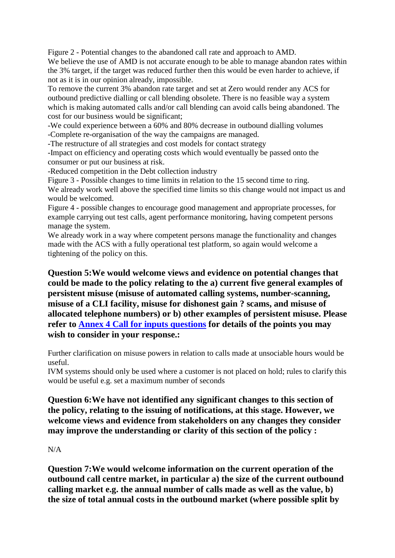Figure 2 - Potential changes to the abandoned call rate and approach to AMD. We believe the use of AMD is not accurate enough to be able to manage abandon rates within the 3% target, if the target was reduced further then this would be even harder to achieve, if not as it is in our opinion already, impossible.

To remove the current 3% abandon rate target and set at Zero would render any ACS for outbound predictive dialling or call blending obsolete. There is no feasible way a system which is making automated calls and/or call blending can avoid calls being abandoned. The cost for our business would be significant;

-We could experience between a 60% and 80% decrease in outbound dialling volumes -Complete re-organisation of the way the campaigns are managed.

-The restructure of all strategies and cost models for contact strategy

-Impact on efficiency and operating costs which would eventually be passed onto the consumer or put our business at risk.

-Reduced competition in the Debt collection industry

Figure 3 - Possible changes to time limits in relation to the 15 second time to ring. We already work well above the specified time limits so this change would not impact us and would be welcomed.

Figure 4 - possible changes to encourage good management and appropriate processes, for example carrying out test calls, agent performance monitoring, having competent persons manage the system.

We already work in a way where competent persons manage the functionality and changes made with the ACS with a fully operational test platform, so again would welcome a tightening of the policy on this.

**Question 5:We would welcome views and evidence on potential changes that could be made to the policy relating to the a) current five general examples of persistent misuse (misuse of automated calling systems, number-scanning, misuse of a CLI facility, misuse for dishonest gain ? scams, and misuse of allocated telephone numbers) or b) other examples of persistent misuse. Please refer to Annex 4 Call for inputs questions for details of the points you may wish to consider in your response.:**

Further clarification on misuse powers in relation to calls made at unsociable hours would be useful.

IVM systems should only be used where a customer is not placed on hold; rules to clarify this would be useful e.g. set a maximum number of seconds

**Question 6:We have not identified any significant changes to this section of the policy, relating to the issuing of notifications, at this stage. However, we welcome views and evidence from stakeholders on any changes they consider may improve the understanding or clarity of this section of the policy :**

## N/A

**Question 7:We would welcome information on the current operation of the outbound call centre market, in particular a) the size of the current outbound calling market e.g. the annual number of calls made as well as the value, b) the size of total annual costs in the outbound market (where possible split by**